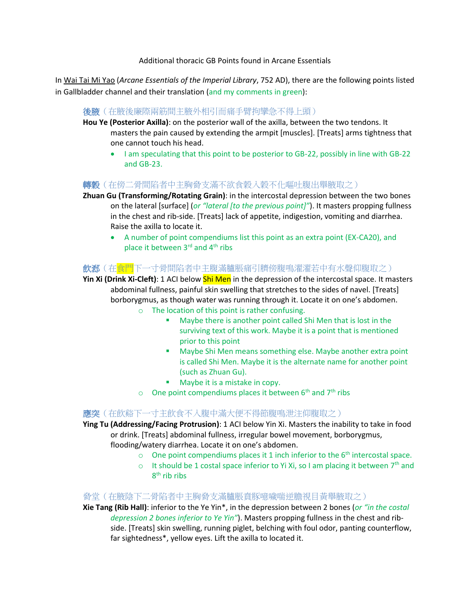Additional thoracic GB Points found in Arcane Essentials

In Wai Tai Mi Yao (*Arcane Essentials of the Imperial Library*, 752 AD), there are the following points listed in Gallbladder channel and their translation (and my comments in green):

#### 後腋(在腋後廉際兩筋間主腋外相引而痛手臂拘攣急不得上頭)

**Hou Ye (Posterior Axilla)**: on the posterior wall of the axilla, between the two tendons. It masters the pain caused by extending the armpit [muscles]. [Treats] arms tightness that one cannot touch his head.

• I am speculating that this point to be posterior to GB-22, possibly in line with GB-22 and GB-23.

#### **轉穀**(在傍二骨間陷者中主胸脅支滿不欲食穀入穀不化嘔吐腹出舉腋取之)

**Zhuan Gu (Transforming/Rotating Grain)**: in the intercostal depression between the two bones on the lateral [surface] (*or "lateral [to the previous point]"*). It masters propping fullness in the chest and rib-side. [Treats] lack of appetite, indigestion, vomiting and diarrhea. Raise the axilla to locate it.

 A number of point compendiums list this point as an extra point (EX-CA20), and place it between 3<sup>rd</sup> and 4<sup>th</sup> ribs

# **飲郄**(在食門下一寸骨間陷者中主腹滿臚脹痛引臍傍腹鳴濯濯若中有水聲仰腹取之)

**Yin Xi (Drink Xi-Cleft)**: 1 ACI below Shi Men in the depression of the intercostal space. It masters abdominal fullness, painful skin swelling that stretches to the sides of navel. [Treats] borborygmus, as though water was running through it. Locate it on one's abdomen.

- o The location of this point is rather confusing.
	- Maybe there is another point called Shi Men that is lost in the surviving text of this work. Maybe it is a point that is mentioned prior to this point
	- **Maybe Shi Men means something else. Maybe another extra point** is called Shi Men. Maybe it is the alternate name for another point (such as Zhuan Gu).
	- **Maybe it is a mistake in copy.**
- $\circ$  One point compendiums places it between 6<sup>th</sup> and 7<sup>th</sup> ribs

# 應突(在飲谿下一寸主飲食不入腹中滿大便不得節腹鳴泄注仰腹取之)

**Ying Tu (Addressing/Facing Protrusion)**: 1 ACI below Yin Xi. Masters the inability to take in food or drink. [Treats] abdominal fullness, irregular bowel movement, borborygmus, flooding/watery diarrhea. Locate it on one's abdomen.

- o One point compendiums places it 1 inch inferior to the  $6<sup>th</sup>$  intercostal space.
- $\circ$  It should be 1 costal space inferior to Yi Xi, so I am placing it between  $7<sup>th</sup>$  and 8<sup>th</sup> rib ribs

#### 脅堂(在腋陰下二骨陷者中主胸脅支滿臚脹賁豚噫噦喘逆膽視目黃舉腋取之)

**Xie Tang (Rib Hall)**: inferior to the Ye Yin\*, in the depression between 2 bones (*or "in the costal depression 2 bones inferior to Ye Yin"*). Masters propping fullness in the chest and ribside. [Treats] skin swelling, running piglet, belching with foul odor, panting counterflow, far sightedness\*, yellow eyes. Lift the axilla to located it.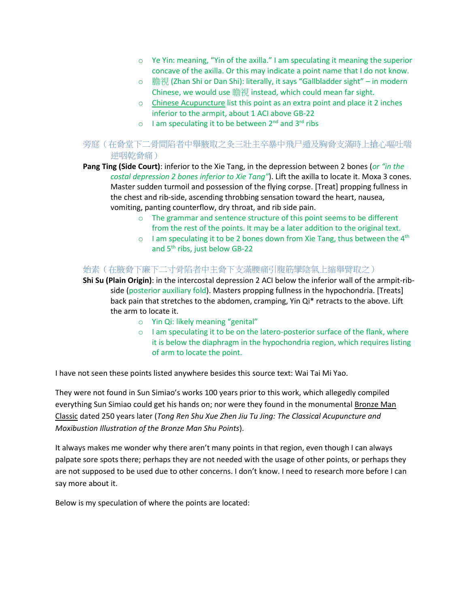- $\circ$  Ye Yin: meaning, "Yin of the axilla." I am speculating it meaning the superior concave of the axilla. Or this may indicate a point name that I do not know.
- 膽視 (Zhan Shi or Dan Shi): literally, it says "Gallbladder sight" in modern Chinese, we would use 瞻視 instead, which could mean far sight.
- o Chinese Acupuncture list this point as an extra point and place it 2 inches inferior to the armpit, about 1 ACI above GB-22
- o I am speculating it to be between 2<sup>nd</sup> and 3<sup>rd</sup> ribs

# 旁庭(在脅堂下二骨間陷者中舉腋取之灸三壯主卒暴中飛尸遁及胸脅支滿時上搶心嘔吐喘 逆咽乾脅痛)

**Pang Ting (Side Court)**: inferior to the Xie Tang, in the depression between 2 bones (*or "in the costal depression 2 bones inferior to Xie Tang"*). Lift the axilla to locate it. Moxa 3 cones. Master sudden turmoil and possession of the flying corpse. [Treat] propping fullness in the chest and rib-side, ascending throbbing sensation toward the heart, nausea, vomiting, panting counterflow, dry throat, and rib side pain.

- o The grammar and sentence structure of this point seems to be different from the rest of the points. It may be a later addition to the original text.
- $\circ$  I am speculating it to be 2 bones down from Xie Tang, thus between the 4<sup>th</sup> and 5<sup>th</sup> ribs, just below GB-22

# 始素(在腋脅下廉下二寸骨陷者中主脅下支滿腰痛引腹筋攣陰氣上縮舉臂取之)

**Shi Su (Plain Origin)**: in the intercostal depression 2 ACI below the inferior wall of the armpit-ribside (posterior auxiliary fold). Masters propping fullness in the hypochondria. [Treats] back pain that stretches to the abdomen, cramping, Yin Qi\* retracts to the above. Lift the arm to locate it.

- o Yin Qi: likely meaning "genital"
- $\circ$  I am speculating it to be on the latero-posterior surface of the flank, where it is below the diaphragm in the hypochondria region, which requires listing of arm to locate the point.

I have not seen these points listed anywhere besides this source text: Wai Tai Mi Yao.

They were not found in Sun Simiao's works 100 years prior to this work, which allegedly compiled everything Sun Simiao could get his hands on; nor were they found in the monumental Bronze Man Classic dated 250 years later (*Tong Ren Shu Xue Zhen Jiu Tu Jing: The Classical Acupuncture and Moxibustion Illustration of the Bronze Man Shu Points*).

It always makes me wonder why there aren't many points in that region, even though I can always palpate sore spots there; perhaps they are not needed with the usage of other points, or perhaps they are not supposed to be used due to other concerns. I don't know. I need to research more before I can say more about it.

Below is my speculation of where the points are located: